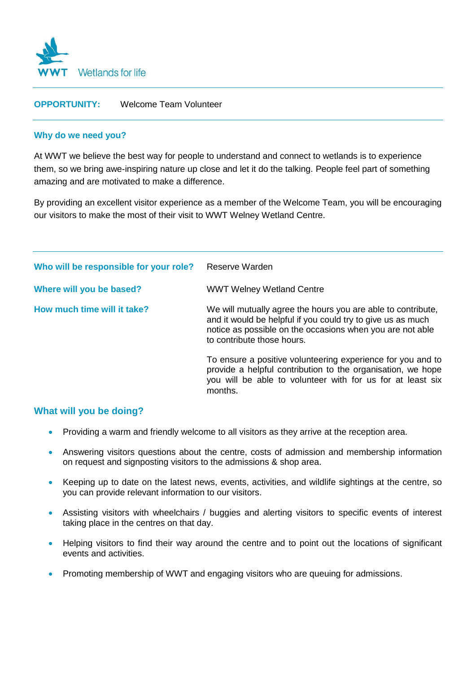

# **OPPORTUNITY:** Welcome Team Volunteer

### **Why do we need you?**

At WWT we believe the best way for people to understand and connect to wetlands is to experience them, so we bring awe-inspiring nature up close and let it do the talking. People feel part of something amazing and are motivated to make a difference.

By providing an excellent visitor experience as a member of the Welcome Team, you will be encouraging our visitors to make the most of their visit to WWT Welney Wetland Centre.

| Who will be responsible for your role? | Reserve Warden                                                                                                                                                                                                         |
|----------------------------------------|------------------------------------------------------------------------------------------------------------------------------------------------------------------------------------------------------------------------|
| Where will you be based?               | <b>WWT Welney Wetland Centre</b>                                                                                                                                                                                       |
| How much time will it take?            | We will mutually agree the hours you are able to contribute,<br>and it would be helpful if you could try to give us as much<br>notice as possible on the occasions when you are not able<br>to contribute those hours. |
|                                        | To ensure a positive volunteering experience for you and to<br>provide a helpful contribution to the organisation, we hope<br>you will be able to volunteer with for us for at least six<br>months.                    |

## **What will you be doing?**

- Providing a warm and friendly welcome to all visitors as they arrive at the reception area.
- Answering visitors questions about the centre, costs of admission and membership information on request and signposting visitors to the admissions & shop area.
- Keeping up to date on the latest news, events, activities, and wildlife sightings at the centre, so you can provide relevant information to our visitors.
- Assisting visitors with wheelchairs / buggies and alerting visitors to specific events of interest taking place in the centres on that day.
- Helping visitors to find their way around the centre and to point out the locations of significant events and activities.
- Promoting membership of WWT and engaging visitors who are queuing for admissions.